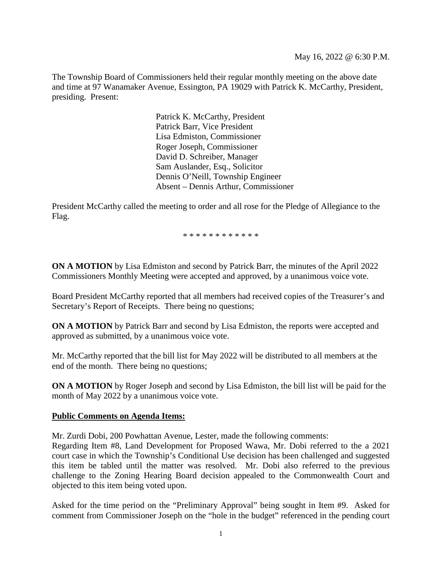The Township Board of Commissioners held their regular monthly meeting on the above date and time at 97 Wanamaker Avenue, Essington, PA 19029 with Patrick K. McCarthy, President, presiding. Present:

> Patrick K. McCarthy, President Patrick Barr, Vice President Lisa Edmiston, Commissioner Roger Joseph, Commissioner David D. Schreiber, Manager Sam Auslander, Esq., Solicitor Dennis O'Neill, Township Engineer Absent – Dennis Arthur, Commissioner

President McCarthy called the meeting to order and all rose for the Pledge of Allegiance to the Flag.

\* \* \* \* \* \* \* \* \* \* \* \*

**ON A MOTION** by Lisa Edmiston and second by Patrick Barr, the minutes of the April 2022 Commissioners Monthly Meeting were accepted and approved, by a unanimous voice vote.

Board President McCarthy reported that all members had received copies of the Treasurer's and Secretary's Report of Receipts. There being no questions;

**ON A MOTION** by Patrick Barr and second by Lisa Edmiston, the reports were accepted and approved as submitted, by a unanimous voice vote.

Mr. McCarthy reported that the bill list for May 2022 will be distributed to all members at the end of the month. There being no questions;

**ON A MOTION** by Roger Joseph and second by Lisa Edmiston, the bill list will be paid for the month of May 2022 by a unanimous voice vote.

### **Public Comments on Agenda Items:**

Mr. Zurdi Dobi, 200 Powhattan Avenue, Lester, made the following comments:

Regarding Item #8, Land Development for Proposed Wawa, Mr. Dobi referred to the a 2021 court case in which the Township's Conditional Use decision has been challenged and suggested this item be tabled until the matter was resolved. Mr. Dobi also referred to the previous challenge to the Zoning Hearing Board decision appealed to the Commonwealth Court and objected to this item being voted upon.

Asked for the time period on the "Preliminary Approval" being sought in Item #9. Asked for comment from Commissioner Joseph on the "hole in the budget" referenced in the pending court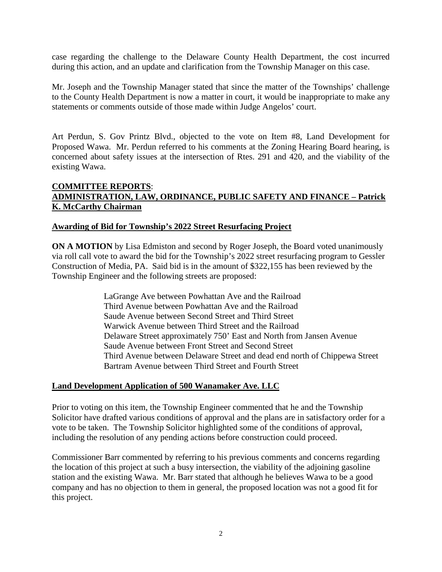case regarding the challenge to the Delaware County Health Department, the cost incurred during this action, and an update and clarification from the Township Manager on this case.

Mr. Joseph and the Township Manager stated that since the matter of the Townships' challenge to the County Health Department is now a matter in court, it would be inappropriate to make any statements or comments outside of those made within Judge Angelos' court.

Art Perdun, S. Gov Printz Blvd., objected to the vote on Item #8, Land Development for Proposed Wawa. Mr. Perdun referred to his comments at the Zoning Hearing Board hearing, is concerned about safety issues at the intersection of Rtes. 291 and 420, and the viability of the existing Wawa.

# **COMMITTEE REPORTS**: **ADMINISTRATION, LAW, ORDINANCE, PUBLIC SAFETY AND FINANCE – Patrick K. McCarthy Chairman**

### **Awarding of Bid for Township's 2022 Street Resurfacing Project**

**ON A MOTION** by Lisa Edmiston and second by Roger Joseph, the Board voted unanimously via roll call vote to award the bid for the Township's 2022 street resurfacing program to Gessler Construction of Media, PA. Said bid is in the amount of \$322,155 has been reviewed by the Township Engineer and the following streets are proposed:

> LaGrange Ave between Powhattan Ave and the Railroad Third Avenue between Powhattan Ave and the Railroad Saude Avenue between Second Street and Third Street Warwick Avenue between Third Street and the Railroad Delaware Street approximately 750' East and North from Jansen Avenue Saude Avenue between Front Street and Second Street Third Avenue between Delaware Street and dead end north of Chippewa Street Bartram Avenue between Third Street and Fourth Street

### **Land Development Application of 500 Wanamaker Ave. LLC**

Prior to voting on this item, the Township Engineer commented that he and the Township Solicitor have drafted various conditions of approval and the plans are in satisfactory order for a vote to be taken. The Township Solicitor highlighted some of the conditions of approval, including the resolution of any pending actions before construction could proceed.

Commissioner Barr commented by referring to his previous comments and concerns regarding the location of this project at such a busy intersection, the viability of the adjoining gasoline station and the existing Wawa. Mr. Barr stated that although he believes Wawa to be a good company and has no objection to them in general, the proposed location was not a good fit for this project.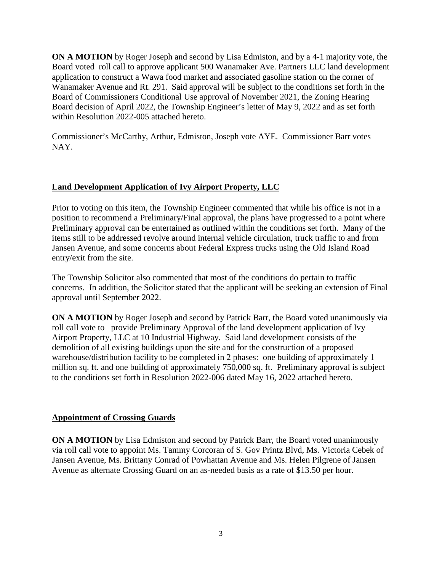**ON A MOTION** by Roger Joseph and second by Lisa Edmiston, and by a 4-1 majority vote, the Board voted roll call to approve applicant 500 Wanamaker Ave. Partners LLC land development application to construct a Wawa food market and associated gasoline station on the corner of Wanamaker Avenue and Rt. 291. Said approval will be subject to the conditions set forth in the Board of Commissioners Conditional Use approval of November 2021, the Zoning Hearing Board decision of April 2022, the Township Engineer's letter of May 9, 2022 and as set forth within Resolution 2022-005 attached hereto.

Commissioner's McCarthy, Arthur, Edmiston, Joseph vote AYE. Commissioner Barr votes NAY.

# **Land Development Application of Ivy Airport Property, LLC**

Prior to voting on this item, the Township Engineer commented that while his office is not in a position to recommend a Preliminary/Final approval, the plans have progressed to a point where Preliminary approval can be entertained as outlined within the conditions set forth. Many of the items still to be addressed revolve around internal vehicle circulation, truck traffic to and from Jansen Avenue, and some concerns about Federal Express trucks using the Old Island Road entry/exit from the site.

The Township Solicitor also commented that most of the conditions do pertain to traffic concerns. In addition, the Solicitor stated that the applicant will be seeking an extension of Final approval until September 2022.

**ON A MOTION** by Roger Joseph and second by Patrick Barr, the Board voted unanimously via roll call vote to provide Preliminary Approval of the land development application of Ivy Airport Property, LLC at 10 Industrial Highway. Said land development consists of the demolition of all existing buildings upon the site and for the construction of a proposed warehouse/distribution facility to be completed in 2 phases: one building of approximately 1 million sq. ft. and one building of approximately 750,000 sq. ft. Preliminary approval is subject to the conditions set forth in Resolution 2022-006 dated May 16, 2022 attached hereto.

# **Appointment of Crossing Guards**

**ON A MOTION** by Lisa Edmiston and second by Patrick Barr, the Board voted unanimously via roll call vote to appoint Ms. Tammy Corcoran of S. Gov Printz Blvd, Ms. Victoria Cebek of Jansen Avenue, Ms. Brittany Conrad of Powhattan Avenue and Ms. Helen Pilgrene of Jansen Avenue as alternate Crossing Guard on an as-needed basis as a rate of \$13.50 per hour.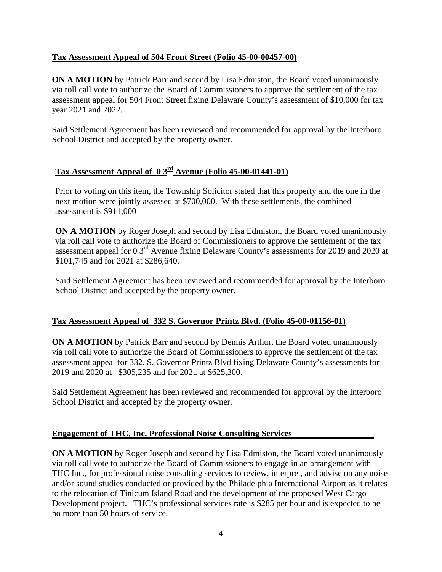# **Tax Assessment Appeal of 504 Front Street (Folio 45-00-00457-00)**

**ON A MOTION** by Patrick Barr and second by Lisa Edmiston, the Board voted unanimously via roll call vote to authorize the Board of Commissioners to approve the settlement of the tax assessment appeal for 504 Front Street fixing Delaware County's assessment of \$10,000 for tax year 2021 and 2022.

Said Settlement Agreement has been reviewed and recommended for approval by the Interboro School District and accepted by the property owner.

# **Tax Assessment Appeal of 0 3rd Avenue (Folio 45-00-01441-01)**

Prior to voting on this item, the Township Solicitor stated that this property and the one in the next motion were jointly assessed at \$700,000. With these settlements, the combined assessment is \$911,000

**ON A MOTION** by Roger Joseph and second by Lisa Edmiston, the Board voted unanimously via roll call vote to authorize the Board of Commissioners to approve the settlement of the tax assessment appeal for 0 3rd Avenue fixing Delaware County's assessments for 2019 and 2020 at \$101,745 and for 2021 at \$286,640.

Said Settlement Agreement has been reviewed and recommended for approval by the Interboro School District and accepted by the property owner.

# **Tax Assessment Appeal of 332 S. Governor Printz Blvd. (Folio 45-00-01156-01)**

**ON A MOTION** by Patrick Barr and second by Dennis Arthur, the Board voted unanimously via roll call vote to authorize the Board of Commissioners to approve the settlement of the tax assessment appeal for 332. S. Governor Printz Blvd fixing Delaware County's assessments for 2019 and 2020 at \$305,235 and for 2021 at \$625,300.

Said Settlement Agreement has been reviewed and recommended for approval by the Interboro School District and accepted by the property owner.

# **Engagement of THC, Inc. Professional Noise Consulting Services**

**ON A MOTION** by Roger Joseph and second by Lisa Edmiston, the Board voted unanimously via roll call vote to authorize the Board of Commissioners to engage in an arrangement with THC Inc., for professional noise consulting services to review, interpret, and advise on any noise and/or sound studies conducted or provided by the Philadelphia International Airport as it relates to the relocation of Tinicum Island Road and the development of the proposed West Cargo Development project. THC's professional services rate is \$285 per hour and is expected to be no more than 50 hours of service.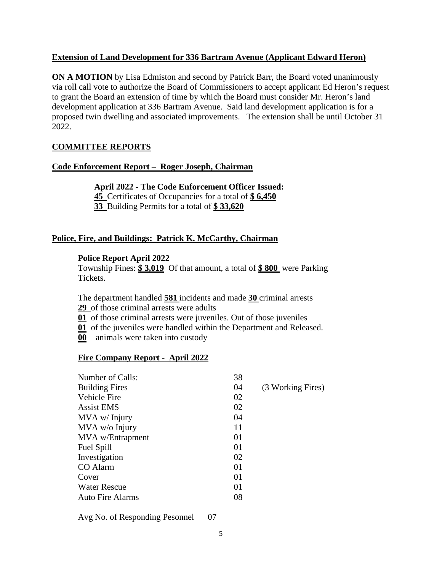# **Extension of Land Development for 336 Bartram Avenue (Applicant Edward Heron)**

**ON A MOTION** by Lisa Edmiston and second by Patrick Barr, the Board voted unanimously via roll call vote to authorize the Board of Commissioners to accept applicant Ed Heron's request to grant the Board an extension of time by which the Board must consider Mr. Heron's land development application at 336 Bartram Avenue. Said land development application is for a proposed twin dwelling and associated improvements. The extension shall be until October 31 2022.

# **COMMITTEE REPORTS**

# **Code Enforcement Report – Roger Joseph, Chairman**

**April 2022 - The Code Enforcement Officer Issued: 45** Certificates of Occupancies for a total of **\$ 6,450 33** Building Permits for a total of **\$ 33,620**

# **Police, Fire, and Buildings: Patrick K. McCarthy, Chairman**

### **Police Report April 2022**

Township Fines: **\$ 3,019** Of that amount, a total of **\$ 800** were Parking Tickets.

The department handled **581** incidents and made **30** criminal arrests **29** of those criminal arrests were adults

**01** of those criminal arrests were juveniles. Out of those juveniles

**01** of the juveniles were handled within the Department and Released.

**00** animals were taken into custody

### **Fire Company Report - April 2022**

| 38 |                   |
|----|-------------------|
| 04 | (3 Working Fires) |
| 02 |                   |
| 02 |                   |
| 04 |                   |
| 11 |                   |
| 01 |                   |
| 01 |                   |
| 02 |                   |
| 01 |                   |
| 01 |                   |
| 01 |                   |
| 08 |                   |
|    |                   |

Avg No. of Responding Pesonnel 07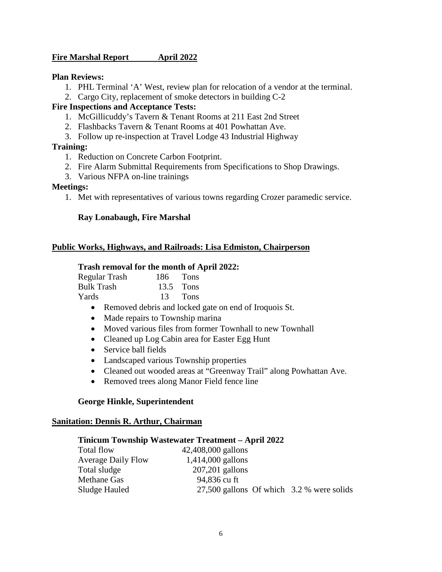# **Fire Marshal Report April 2022**

#### **Plan Reviews:**

- 1. PHL Terminal 'A' West, review plan for relocation of a vendor at the terminal.
- 2. Cargo City, replacement of smoke detectors in building C-2

### **Fire Inspections and Acceptance Tests:**

- 1. McGillicuddy's Tavern & Tenant Rooms at 211 East 2nd Street
- 2. Flashbacks Tavern & Tenant Rooms at 401 Powhattan Ave.
- 3. Follow up re-inspection at Travel Lodge 43 Industrial Highway

#### **Training:**

- 1. Reduction on Concrete Carbon Footprint.
- 2. Fire Alarm Submittal Requirements from Specifications to Shop Drawings.
- 3. Various NFPA on-line trainings

#### **Meetings:**

1. Met with representatives of various towns regarding Crozer paramedic service.

### **Ray Lonabaugh, Fire Marshal**

#### **Public Works, Highways, and Railroads: Lisa Edmiston, Chairperson**

#### **Trash removal for the month of April 2022:**

| Regular Trash | $186$ Tons |             |
|---------------|------------|-------------|
| Bulk Trash    |            | $13.5$ Tons |
| Yards         |            | 13 Tons     |

- Removed debris and locked gate on end of Iroquois St.
- Made repairs to Township marina
- Moved various files from former Townhall to new Townhall
- Cleaned up Log Cabin area for Easter Egg Hunt
- Service ball fields
- Landscaped various Township properties
- Cleaned out wooded areas at "Greenway Trail" along Powhattan Ave.
- Removed trees along Manor Field fence line

#### **George Hinkle, Superintendent**

#### **Sanitation: Dennis R. Arthur, Chairman**

#### **Tinicum Township Wastewater Treatment – April 2022**

| 42,408,000 gallons  |                                           |
|---------------------|-------------------------------------------|
| $1,414,000$ gallons |                                           |
| $207,201$ gallons   |                                           |
| 94,836 cu ft        |                                           |
|                     |                                           |
|                     | 27,500 gallons Of which 3.2 % were solids |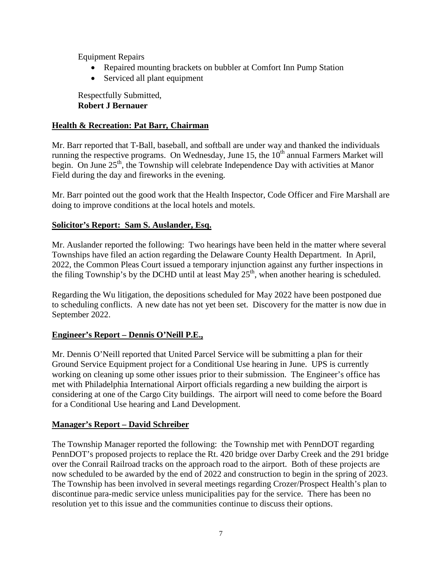Equipment Repairs

- Repaired mounting brackets on bubbler at Comfort Inn Pump Station
- Serviced all plant equipment

Respectfully Submitted, **Robert J Bernauer**

# **Health & Recreation: Pat Barr***,* **Chairman**

Mr. Barr reported that T-Ball, baseball, and softball are under way and thanked the individuals running the respective programs. On Wednesday, June 15, the  $10<sup>th</sup>$  annual Farmers Market will begin. On June  $25<sup>th</sup>$ , the Township will celebrate Independence Day with activities at Manor Field during the day and fireworks in the evening.

Mr. Barr pointed out the good work that the Health Inspector, Code Officer and Fire Marshall are doing to improve conditions at the local hotels and motels.

# **Solicitor's Report: Sam S. Auslander, Esq.**

Mr. Auslander reported the following: Two hearings have been held in the matter where several Townships have filed an action regarding the Delaware County Health Department. In April, 2022, the Common Pleas Court issued a temporary injunction against any further inspections in the filing Township's by the DCHD until at least May  $25<sup>th</sup>$ , when another hearing is scheduled.

Regarding the Wu litigation, the depositions scheduled for May 2022 have been postponed due to scheduling conflicts. A new date has not yet been set. Discovery for the matter is now due in September 2022.

# **Engineer's Report – Dennis O'Neill P.E.,**

Mr. Dennis O'Neill reported that United Parcel Service will be submitting a plan for their Ground Service Equipment project for a Conditional Use hearing in June. UPS is currently working on cleaning up some other issues prior to their submission. The Engineer's office has met with Philadelphia International Airport officials regarding a new building the airport is considering at one of the Cargo City buildings. The airport will need to come before the Board for a Conditional Use hearing and Land Development.

# **Manager's Report – David Schreiber**

The Township Manager reported the following: the Township met with PennDOT regarding PennDOT's proposed projects to replace the Rt. 420 bridge over Darby Creek and the 291 bridge over the Conrail Railroad tracks on the approach road to the airport. Both of these projects are now scheduled to be awarded by the end of 2022 and construction to begin in the spring of 2023. The Township has been involved in several meetings regarding Crozer/Prospect Health's plan to discontinue para-medic service unless municipalities pay for the service. There has been no resolution yet to this issue and the communities continue to discuss their options.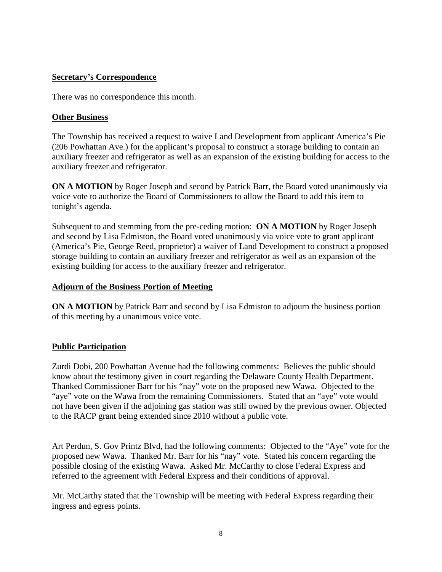# **Secretary's Correspondence**

There was no correspondence this month.

# **Other Business**

The Township has received a request to waive Land Development from applicant America's Pie (206 Powhattan Ave.) for the applicant's proposal to construct a storage building to contain an auxiliary freezer and refrigerator as well as an expansion of the existing building for access to the auxiliary freezer and refrigerator.

**ON A MOTION** by Roger Joseph and second by Patrick Barr, the Board voted unanimously via voice vote to authorize the Board of Commissioners to allow the Board to add this item to tonight's agenda.

Subsequent to and stemming from the pre-ceding motion: **ON A MOTION** by Roger Joseph and second by Lisa Edmiston, the Board voted unanimously via voice vote to grant applicant (America's Pie, George Reed, proprietor) a waiver of Land Development to construct a proposed storage building to contain an auxiliary freezer and refrigerator as well as an expansion of the existing building for access to the auxiliary freezer and refrigerator.

### **Adjourn of the Business Portion of Meeting**

**ON A MOTION** by Patrick Barr and second by Lisa Edmiston to adjourn the business portion of this meeting by a unanimous voice vote.

# **Public Participation**

Zurdi Dobi, 200 Powhattan Avenue had the following comments: Believes the public should know about the testimony given in court regarding the Delaware County Health Department. Thanked Commissioner Barr for his "nay" vote on the proposed new Wawa. Objected to the "aye" vote on the Wawa from the remaining Commissioners. Stated that an "aye" vote would not have been given if the adjoining gas station was still owned by the previous owner. Objected to the RACP grant being extended since 2010 without a public vote.

Art Perdun, S. Gov Printz Blvd, had the following comments: Objected to the "Aye" vote for the proposed new Wawa. Thanked Mr. Barr for his "nay" vote. Stated his concern regarding the possible closing of the existing Wawa. Asked Mr. McCarthy to close Federal Express and referred to the agreement with Federal Express and their conditions of approval.

Mr. McCarthy stated that the Township will be meeting with Federal Express regarding their ingress and egress points.